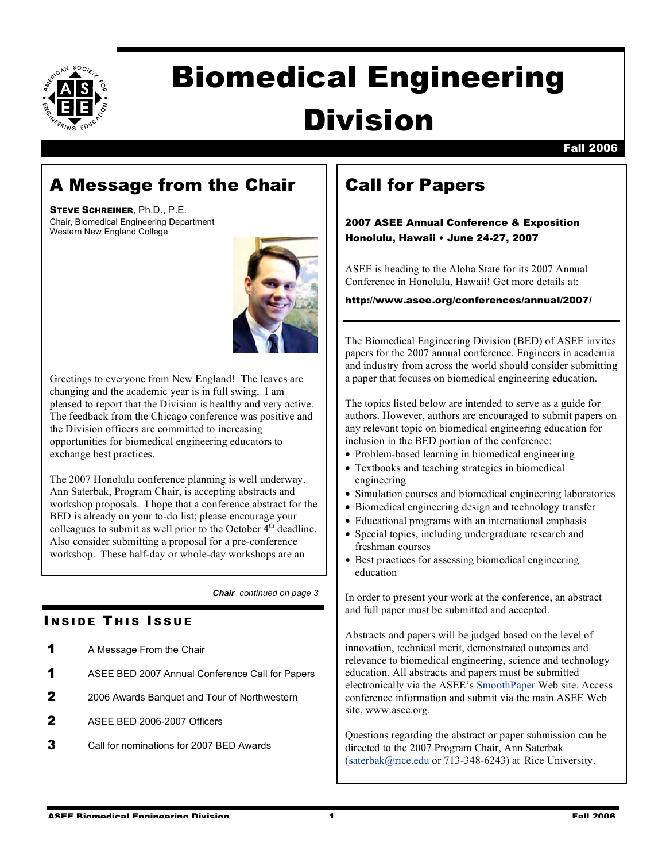

# Biomedical Engineering Division

# A Message from the Chair

STEVE SCHREINER, Ph.D., P.E. Chair, Biomedical Engineering Department Western New England College



Greetings to everyone from New England! The leaves are changing and the academic year is in full swing. I am pleased to report that the Division is healthy and very active. The feedback from the Chicago conference was positive and the Division officers are committed to increasing opportunities for biomedical engineering educators to exchange best practices.

The 2007 Honolulu conference planning is well underway. Ann Saterbak, Program Chair, is accepting abstracts and workshop proposals. I hope that a conference abstract for the BED is already on your to-do list; please encourage your colleagues to submit as well prior to the October  $4<sup>th</sup>$  deadline. Also consider submitting a proposal for a pre-conference workshop. These half-day or whole-day workshops are an

*Chair continued on page 3*

## **INSIDE THIS ISSUE**

- **1** A Message From the Chair
- 1 ASEE BED 2007 Annual Conference Call for Papers
- 2 2006 Awards Banquet and Tour of Northwestern
- 2 ASEE BED 2006-2007 Officers
- 3 Call for nominations for 2007 BED Awards

# Call for Papers

## 2007 ASEE Annual Conference & Exposition Honolulu, Hawaii • June 24-27, 2007

ASEE is heading to the Aloha State for its 2007 Annual Conference in Honolulu, Hawaii! Get more details at:

### http://www.asee.org/conferences/annual/2007/

The Biomedical Engineering Division (BED) of ASEE invites papers for the 2007 annual conference. Engineers in academia and industry from across the world should consider submitting a paper that focuses on biomedical engineering education.

The topics listed below are intended to serve as a guide for authors. However, authors are encouraged to submit papers on any relevant topic on biomedical engineering education for inclusion in the BED portion of the conference:

- Problem-based learning in biomedical engineering
- Textbooks and teaching strategies in biomedical engineering
- Simulation courses and biomedical engineering laboratories
- Biomedical engineering design and technology transfer
- Educational programs with an international emphasis
- Special topics, including undergraduate research and freshman courses
- Best practices for assessing biomedical engineering education

In order to present your work at the conference, an abstract and full paper must be submitted and accepted.

Abstracts and papers will be judged based on the level of innovation, technical merit, demonstrated outcomes and relevance to biomedical engineering, science and technology education. All abstracts and papers must be submitted electronically via the ASEE's SmoothPaper Web site. Access conference information and submit via the main ASEE Web site, www.asee.org.

Questions regarding the abstract or paper submission can be directed to the 2007 Program Chair, Ann Saterbak (saterbak@rice.edu or 713-348-6243) at Rice University.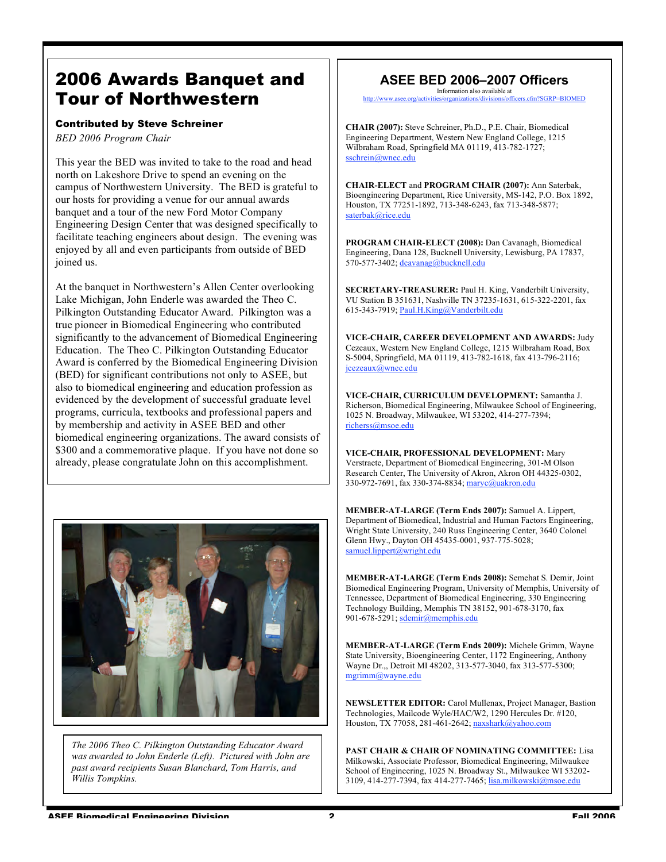## 2006 Awards Banquet and Tour of Northwestern

#### Contributed by Steve Schreiner

*BED 2006 Program Chair*

This year the BED was invited to take to the road and head north on Lakeshore Drive to spend an evening on the campus of Northwestern University. The BED is grateful to our hosts for providing a venue for our annual awards banquet and a tour of the new Ford Motor Company Engineering Design Center that was designed specifically to facilitate teaching engineers about design. The evening was enjoyed by all and even participants from outside of BED joined us.

At the banquet in Northwestern's Allen Center overlooking Lake Michigan, John Enderle was awarded the Theo C. Pilkington Outstanding Educator Award. Pilkington was a true pioneer in Biomedical Engineering who contributed significantly to the advancement of Biomedical Engineering Education. The Theo C. Pilkington Outstanding Educator Award is conferred by the Biomedical Engineering Division (BED) for significant contributions not only to ASEE, but also to biomedical engineering and education profession as evidenced by the development of successful graduate level programs, curricula, textbooks and professional papers and by membership and activity in ASEE BED and other biomedical engineering organizations. The award consists of \$300 and a commemorative plaque. If you have not done so already, please congratulate John on this accomplishment.



*The 2006 Theo C. Pilkington Outstanding Educator Award was awarded to John Enderle (Left). Pictured with John are past award recipients Susan Blanchard, Tom Harris, and Willis Tompkins.*

#### **ASEE BED 2006–2007 Officers** Information also available at

vities/organizations/divisions/officers.cfm?SGRP=BIOMED

**CHAIR (2007):** Steve Schreiner, Ph.D., P.E. Chair, Biomedical Engineering Department, Western New England College, 1215 Wilbraham Road, Springfield MA 01119, 413-782-1727; sschrein@wnec.edu

**CHAIR-ELECT** and **PROGRAM CHAIR (2007):** Ann Saterbak, Bioengineering Department, Rice University, MS-142, P.O. Box 1892, Houston, TX 77251-1892, 713-348-6243, fax 713-348-5877; saterbak@rice.edu

**PROGRAM CHAIR-ELECT (2008):** Dan Cavanagh, Biomedical Engineering, Dana 128, Bucknell University, Lewisburg, PA 17837, 570-577-3402; dcavanag@bucknell.edu

**SECRETARY-TREASURER:** Paul H. King, Vanderbilt University, VU Station B 351631, Nashville TN 37235-1631, 615-322-2201, fax 615-343-7919; Paul.H.King@Vanderbilt.edu

**VICE-CHAIR, CAREER DEVELOPMENT AND AWARDS:** Judy Cezeaux, Western New England College, 1215 Wilbraham Road, Box S-5004, Springfield, MA 01119, 413-782-1618, fax 413-796-2116; jcezeaux@wnec.edu

**VICE-CHAIR, CURRICULUM DEVELOPMENT:** Samantha J. Richerson, Biomedical Engineering, Milwaukee School of Engineering, 1025 N. Broadway, Milwaukee, WI 53202, 414-277-7394; richerss@msoe.edu

**VICE-CHAIR, PROFESSIONAL DEVELOPMENT:** Mary Verstraete, Department of Biomedical Engineering, 301-M Olson Research Center, The University of Akron, Akron OH 44325-0302, 330-972-7691, fax 330-374-8834; maryc@uakron.edu

**MEMBER-AT-LARGE (Term Ends 2007):** Samuel A. Lippert, Department of Biomedical, Industrial and Human Factors Engineering, Wright State University, 240 Russ Engineering Center, 3640 Colonel Glenn Hwy., Dayton OH 45435-0001, 937-775-5028; samuel.lippert@wright.edu

**MEMBER-AT-LARGE (Term Ends 2008):** Semehat S. Demir, Joint Biomedical Engineering Program, University of Memphis, University of Tennessee, Department of Biomedical Engineering, 330 Engineering Technology Building, Memphis TN 38152, 901-678-3170, fax 901-678-5291; sdemir@memphis.edu

**MEMBER-AT-LARGE (Term Ends 2009):** Michele Grimm, Wayne State University, Bioengineering Center, 1172 Engineering, Anthony Wayne Dr.,, Detroit MI 48202, 313-577-3040, fax 313-577-5300; mgrimm@wayne.edu

**NEWSLETTER EDITOR:** Carol Mullenax, Project Manager, Bastion Technologies, Mailcode Wyle/HAC/W2, 1290 Hercules Dr. #120, Houston, TX 77058, 281-461-2642; naxshark@yahoo.com

**PAST CHAIR & CHAIR OF NOMINATING COMMITTEE:** Lisa Milkowski, Associate Professor, Biomedical Engineering, Milwaukee School of Engineering, 1025 N. Broadway St., Milwaukee WI 53202- 3109, 414-277-7394, fax 414-277-7465; lisa.milkowski@msoe.edu